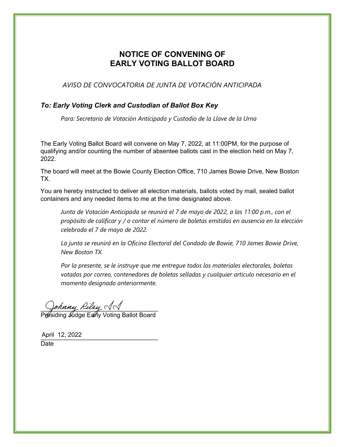## **NOTICE OF CONVENING OF EARLY VOTING BALLOT BOARD**

*AVISO DE CONVOCATORIA DE JUNTA DE VOTACIÓN ANTICIPADA*

### *To: Early Voting Clerk and Custodian of Ballot Box Key*

*Para: Secretario de Votación Anticipada y Custodio de la Llave de la Urna*

The Early Voting Ballot Board will convene on May 7, 2022, at 11:00PM, for the purpose of qualifying and/or counting the number of absentee ballots cast in the election held on May 7, 2022.

The board will meet at the Bowie County Election Office, 710 James Bowie Drive, New Boston TX.

You are hereby instructed to deliver all election materials, ballots voted by mail, sealed ballot containers and any needed items to me at the time designated above.

*Junta de Votación Anticipada se reunirá el 7 de mayo de 2022, a las 11:00 p.m., con el propósito de calificar y / o contar el número de boletas emitidas en ausencia en la elección celebrada el 7 de mayo de 2022.* 

*La junta se reunirá en la Oficina Electoral del Condado de Bowie, 710 James Bowie Drive, New Boston TX.* 

*Por la presente, se le instruye que me entregue todos los materiales electorales, boletas votadas por correo, contenedores de boletas selladas y cualquier artículo necesario en el momento designado anteriormente.*

 $\bigcup$ ohnny Rilly  $\bigvee\bigvee$ 

Présiding *I*udge Early Voting Ballot Board

\_\_\_\_\_\_\_\_\_\_\_\_\_\_\_\_\_\_\_\_\_\_\_\_\_\_\_\_\_\_\_\_\_\_ April 12, 2022Date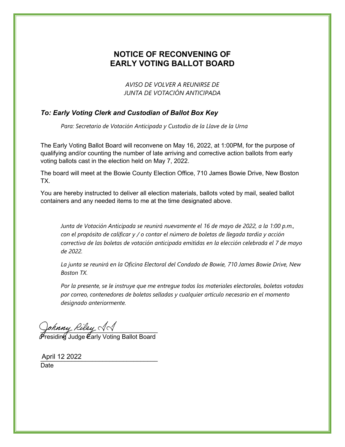## **NOTICE OF RECONVENING OF EARLY VOTING BALLOT BOARD**

*AVISO DE VOLVER A REUNIRSE DE JUNTA DE VOTACIÓN ANTICIPADA*

### *To: Early Voting Clerk and Custodian of Ballot Box Key*

*Para: Secretario de Votación Anticipada y Custodio de la Llave de la Urna* 

The Early Voting Ballot Board will reconvene on May 16, 2022, at 1:00PM, for the purpose of qualifying and/or counting the number of late arriving and corrective action ballots from early voting ballots cast in the election held on May 7, 2022.

The board will meet at the Bowie County Election Office, 710 James Bowie Drive, New Boston TX.

You are hereby instructed to deliver all election materials, ballots voted by mail, sealed ballot containers and any needed items to me at the time designated above.

*Junta de Votación Anticipada se reunirá nuevamente el 16 de mayo de 2022, a la 1:00 p.m., con el propósito de calificar y / o contar el número de boletas de llegada tardía y acción correctiva de las boletas de votación anticipada emitidas en la elección celebrada el 7 de mayo de 2022.* 

*La junta se reunirá en la Oficina Electoral del Condado de Bowie, 710 James Bowie Drive, New Boston TX.* 

*Por la presente, se le instruye que me entregue todos los materiales electorales, boletas votadas por correo, contenedores de boletas selladas y cualquier artículo necesario en el momento designado anteriormente.*

\_\_\_\_\_\_\_\_\_\_\_\_\_\_\_\_\_\_\_\_\_\_\_\_\_\_\_\_\_\_\_\_\_\_

Presiding Judge Early Voting Ballot Board

April 12 2022 Date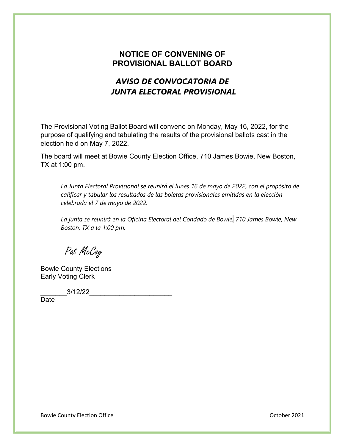### **NOTICE OF CONVENING OF PROVISIONAL BALLOT BOARD**

# *AVISO DE CONVOCATORIA DE JUNTA ELECTORAL PROVISIONAL*

The Provisional Voting Ballot Board will convene on Monday, May 16, 2022, for the purpose of qualifying and tabulating the results of the provisional ballots cast in the election held on May 7, 2022.

The board will meet at Bowie County Election Office, 710 James Bowie, New Boston, TX at 1:00 pm.

*La Junta Electoral Provisional se reunirá el lunes 16 de mayo de 2022, con el propósito de calificar y tabular los resultados de las boletas provisionales emitidas en la elección celebrada el 7 de mayo de 2022.* 

*La junta se reunirá en la Oficina Electoral del Condado de Bowie, 710 James Bowie, New Boston, TX a la 1:00 pm.*

\_\_\_\_\_\_Pat McCoy\_\_\_\_\_\_\_\_\_\_\_\_\_\_\_\_\_\_

Bowie County Elections Early Voting Clerk

\_\_\_\_\_\_\_3/12/22\_\_\_\_\_\_\_\_\_\_\_\_\_\_\_\_\_\_\_\_\_\_

Date

Bowie County Election Office **County Election Office County Election Office October 2021**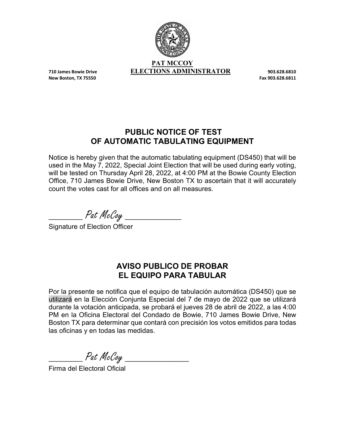

**New Boston, TX 75550** 

## **PUBLIC NOTICE OF TEST OF AUTOMATIC TABULATING EQUIPMENT**

Notice is hereby given that the automatic tabulating equipment (DS450) that will be used in the May 7, 2022, Special Joint Election that will be used during early voting, will be tested on Thursday April 28, 2022, at 4:00 PM at the Bowie County Election Office, 710 James Bowie Drive, New Boston TX to ascertain that it will accurately count the votes cast for all offices and on all measures.

\_\_\_\_\_\_\_\_\_ Pat McCoy \_\_\_\_\_\_\_\_\_\_\_\_\_\_\_

Signature of Election Officer

# **AVISO PUBLICO DE PROBAR EL EQUIPO PARA TABULAR**

Por la presente se notifica que el equipo de tabulación automática (DS450) que se utilizará en la Elección Conjunta Especial del 7 de mayo de 2022 que se utilizará durante la votación anticipada, se probará el jueves 28 de abril de 2022, a las 4:00 PM en la Oficina Electoral del Condado de Bowie, 710 James Bowie Drive, New Boston TX para determinar que contará con precisión los votos emitidos para todas las oficinas y en todas las medidas.

\_\_\_\_\_\_\_\_\_ Pat McCoy \_\_\_\_\_\_\_\_\_\_\_\_\_\_\_\_\_

Firma del Electoral Oficial